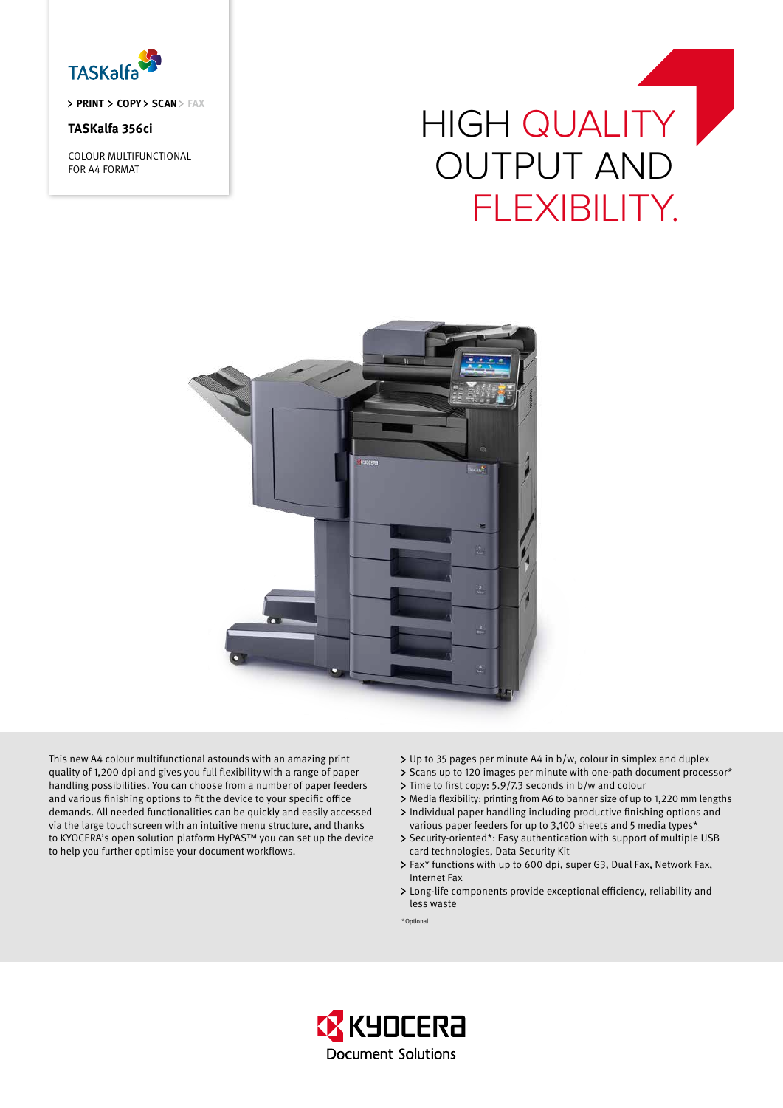

> PRINT > COPY > SCAN > FAX

# **TASKalfa 356ci**

COLOUR MULTIFUNCTIONAL FOR A4 FORMAT

# HIGH QUALITY OUTPUT AND FLEXIBILITY.



This new A4 colour multifunctional astounds with an amazing print quality of 1,200 dpi and gives you full flexibility with a range of paper handling possibilities. You can choose from a number of paper feeders and various finishing options to fit the device to your specific office demands. All needed functionalities can be quickly and easily accessed via the large touchscreen with an intuitive menu structure, and thanks to KYOCERA's open solution platform HyPAS™ you can set up the device to help you further optimise your document workflows.

- Up to 35 pages per minute A4 in b/w, colour in simplex and duplex
- > Scans up to 120 images per minute with one-path document processor\*
- > Time to first copy: 5.9/7.3 seconds in b/w and colour
- Media flexibility: printing from A6 to banner size of up to 1,220 mm lengths
- Individual paper handling including productive finishing options and various paper feeders for up to 3,100 sheets and 5 media types\*
- > Security-oriented\*: Easy authentication with support of multiple USB card technologies, Data Security Kit
- > Fax\* functions with up to 600 dpi, super G3, Dual Fax, Network Fax, Internet Fax
- Long-life components provide exceptional efficiency, reliability and less waste
- \*Optional